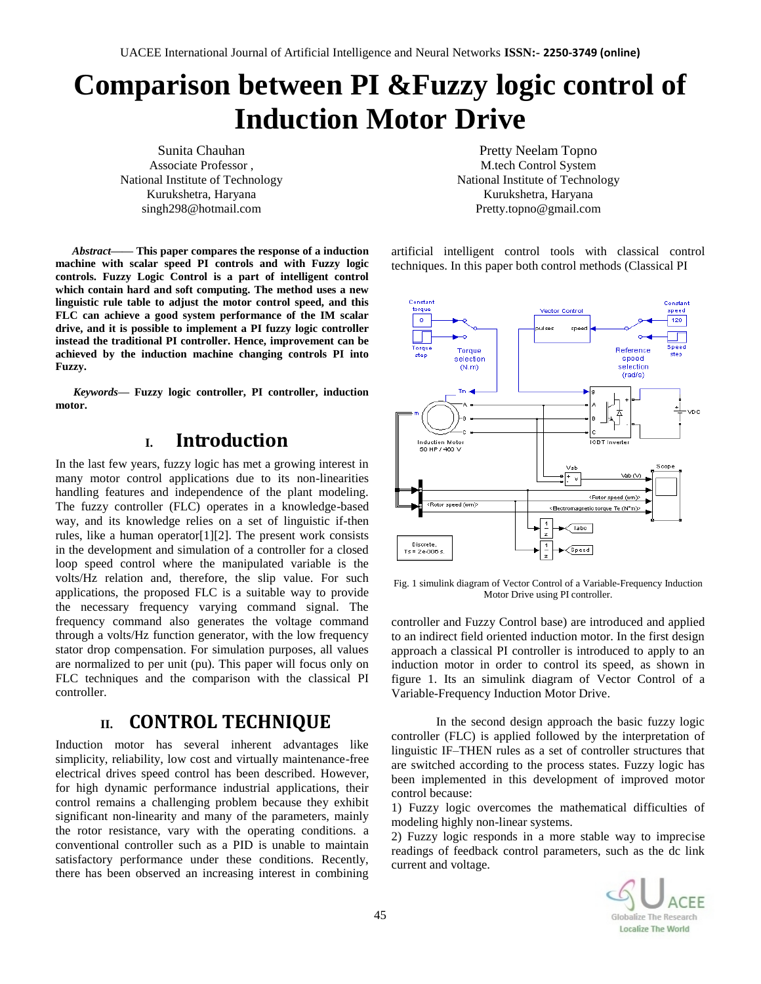# **Comparison between PI &Fuzzy logic control of Induction Motor Drive**

Sunita Chauhan Associate Professor , National Institute of Technology Kurukshetra, Haryana singh298@hotmail.com

*Abstract***—— This paper compares the response of a induction machine with scalar speed PI controls and with Fuzzy logic controls. Fuzzy Logic Control is a part of intelligent control which contain hard and soft computing. The method uses a new linguistic rule table to adjust the motor control speed, and this FLC can achieve a good system performance of the IM scalar drive, and it is possible to implement a PI fuzzy logic controller instead the traditional PI controller. Hence, improvement can be achieved by the induction machine changing controls PI into Fuzzy.**

*Keywords—* **Fuzzy logic controller, PI controller, induction motor.**

# **I. Introduction**

In the last few years, fuzzy logic has met a growing interest in many motor control applications due to its non-linearities handling features and independence of the plant modeling. The fuzzy controller (FLC) operates in a knowledge-based way, and its knowledge relies on a set of linguistic if-then rules, like a human operator[1][2]. The present work consists in the development and simulation of a controller for a closed loop speed control where the manipulated variable is the volts/Hz relation and, therefore, the slip value. For such applications, the proposed FLC is a suitable way to provide the necessary frequency varying command signal. The frequency command also generates the voltage command through a volts/Hz function generator, with the low frequency stator drop compensation. For simulation purposes, all values are normalized to per unit (pu). This paper will focus only on FLC techniques and the comparison with the classical PI controller.

## **II. CONTROL TECHNIQUE**

Induction motor has several inherent advantages like simplicity, reliability, low cost and virtually maintenance-free electrical drives speed control has been described. However, for high dynamic performance industrial applications, their control remains a challenging problem because they exhibit significant non-linearity and many of the parameters, mainly the rotor resistance, vary with the operating conditions. a conventional controller such as a PID is unable to maintain satisfactory performance under these conditions. Recently, there has been observed an increasing interest in combining

Pretty Neelam Topno M.tech Control System National Institute of Technology Kurukshetra, Haryana Pretty.topno@gmail.com

artificial intelligent control tools with classical control techniques. In this paper both control methods (Classical PI



Fig. 1 simulink diagram of Vector Control of a Variable-Frequency Induction Motor Drive using PI controller.

controller and Fuzzy Control base) are introduced and applied to an indirect field oriented induction motor. In the first design approach a classical PI controller is introduced to apply to an induction motor in order to control its speed, as shown in figure 1. Its an simulink diagram of Vector Control of a Variable-Frequency Induction Motor Drive.

In the second design approach the basic fuzzy logic controller (FLC) is applied followed by the interpretation of linguistic IF–THEN rules as a set of controller structures that are switched according to the process states. Fuzzy logic has been implemented in this development of improved motor control because:

1) Fuzzy logic overcomes the mathematical difficulties of modeling highly non-linear systems.

2) Fuzzy logic responds in a more stable way to imprecise readings of feedback control parameters, such as the dc link current and voltage.

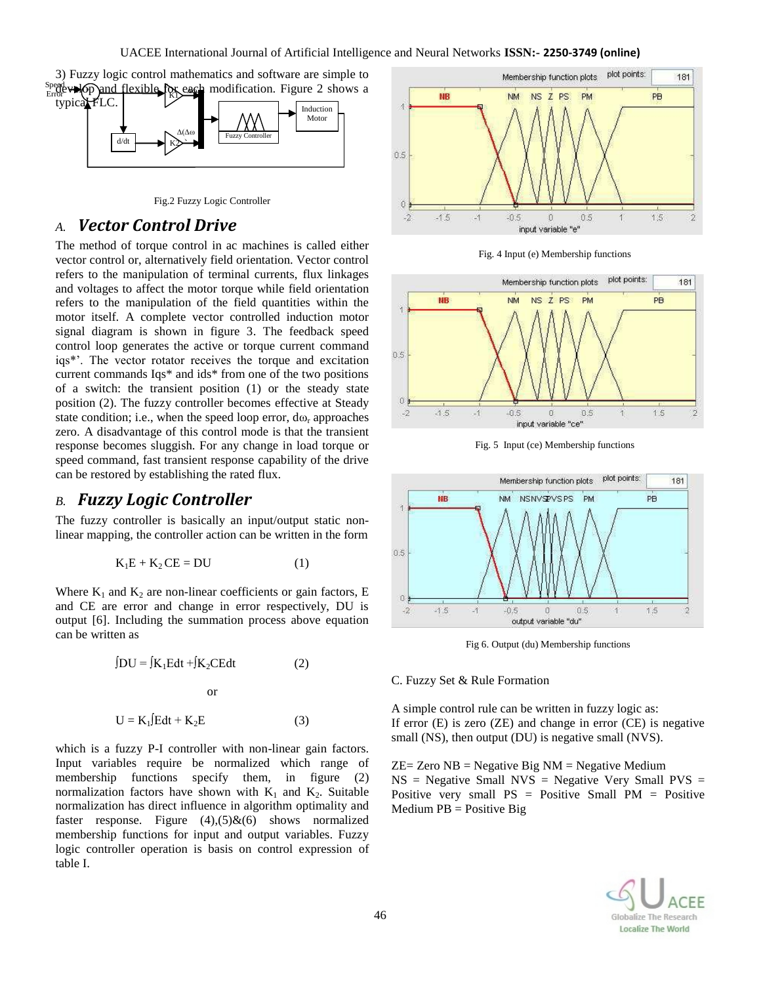

Fig.2 Fuzzy Logic Controller

### *A. Vector Control Drive*

The method of torque control in ac machines is called either vector control or, alternatively field orientation. Vector control refers to the manipulation of terminal currents, flux linkages and voltages to affect the motor torque while field orientation refers to the manipulation of the field quantities within the motor itself. A complete vector controlled induction motor signal diagram is shown in figure 3. The feedback speed control loop generates the active or torque current command iqs\*'. The vector rotator receives the torque and excitation current commands Iqs\* and ids\* from one of the two positions of a switch: the transient position (1) or the steady state position (2). The fuzzy controller becomes effective at Steady state condition; i.e., when the speed loop error,  $d\omega_r$  approaches zero. A disadvantage of this control mode is that the transient response becomes sluggish. For any change in load torque or speed command, fast transient response capability of the drive can be restored by establishing the rated flux.

### *B. Fuzzy Logic Controller*

The fuzzy controller is basically an input/output static nonlinear mapping, the controller action can be written in the form

$$
K_1E + K_2CE = DU \tag{1}
$$

Where  $K_1$  and  $K_2$  are non-linear coefficients or gain factors, E and CE are error and change in error respectively, DU is output [6]. Including the summation process above equation can be written as

$$
\int DU = \int K_1 E dt + \int K_2 CE dt
$$
 (2)  
or  

$$
U = K_1 \int E dt + K_2 E
$$
 (3)

which is a fuzzy P-I controller with non-linear gain factors. Input variables require be normalized which range of

membership functions specify them, in figure (2) normalization factors have shown with  $K_1$  and  $K_2$ . Suitable normalization has direct influence in algorithm optimality and faster response. Figure  $(4)$ , $(5)$ & $(6)$  shows normalized membership functions for input and output variables. Fuzzy logic controller operation is basis on control expression of table I.



Fig. 4 Input (e) Membership functions



Fig. 5 Input (ce) Membership functions



Fig 6. Output (du) Membership functions

#### C. Fuzzy Set & Rule Formation

A simple control rule can be written in fuzzy logic as: If error (E) is zero (ZE) and change in error (CE) is negative small (NS), then output (DU) is negative small (NVS).

 $ZE = Zero NB = Negative Big NM = Negative Medium$  $NS = Negative Small NVS = Negative Very Small PVS =$ Positive very small  $PS = Positive Small PM = Positive$  $Median PB = Positive Big$ 

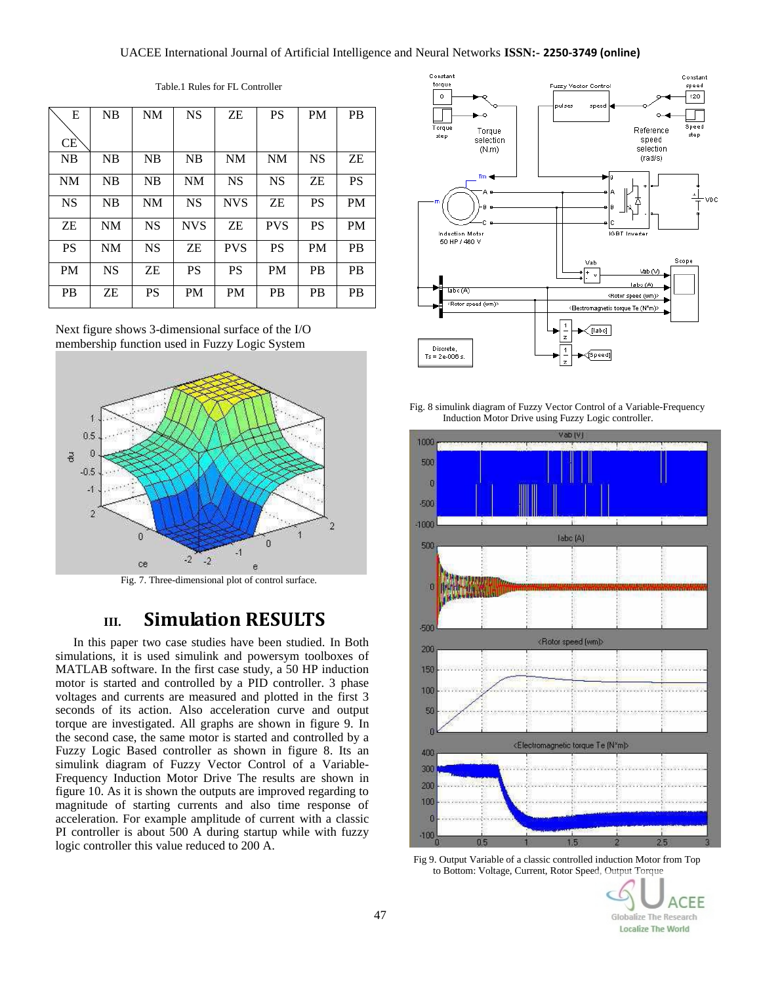#### UACEE International Journal of Artificial Intelligence and Neural Networks **ISSN:- 2250-3749 (online)**

| E         | NB        | NM        | <b>NS</b>  | ZΕ         | <b>PS</b>  | <b>PM</b> | <b>PB</b> |
|-----------|-----------|-----------|------------|------------|------------|-----------|-----------|
| <b>CE</b> |           |           |            |            |            |           |           |
|           |           |           |            |            |            |           |           |
| NB        | NB        | NB        | <b>NB</b>  | <b>NM</b>  | <b>NM</b>  | <b>NS</b> | ΖE        |
| <b>NM</b> | NB        | NB        | <b>NM</b>  | <b>NS</b>  | <b>NS</b>  | ZΕ        | <b>PS</b> |
| <b>NS</b> | NB        | <b>NM</b> | <b>NS</b>  | <b>NVS</b> | ZΕ         | <b>PS</b> | <b>PM</b> |
| ZΕ        | <b>NM</b> | <b>NS</b> | <b>NVS</b> | ZΕ         | <b>PVS</b> | <b>PS</b> | <b>PM</b> |
| <b>PS</b> | <b>NM</b> | <b>NS</b> | ZΕ         | <b>PVS</b> | <b>PS</b>  | <b>PM</b> | <b>PB</b> |
| <b>PM</b> | <b>NS</b> | ZΕ        | <b>PS</b>  | <b>PS</b>  | <b>PM</b>  | <b>PB</b> | <b>PB</b> |
| <b>PB</b> | ZΕ        | PS        | <b>PM</b>  | <b>PM</b>  | PВ         | <b>PB</b> | <b>PB</b> |

Table.1 Rules for FL Controller

Next figure shows 3-dimensional surface of the I/O membership function used in Fuzzy Logic System



Fig. 7. Three-dimensional plot of control surface.

# **III. Simulation RESULTS**

In this paper two case studies have been studied. In Both simulations, it is used simulink and powersym toolboxes of MATLAB software. In the first case study, a 50 HP induction motor is started and controlled by a PID controller. 3 phase voltages and currents are measured and plotted in the first 3 seconds of its action. Also acceleration curve and output torque are investigated. All graphs are shown in figure 9. In the second case, the same motor is started and controlled by a Fuzzy Logic Based controller as shown in figure 8. Its an simulink diagram of Fuzzy Vector Control of a Variable-Frequency Induction Motor Drive The results are shown in figure 10. As it is shown the outputs are improved regarding to magnitude of starting currents and also time response of acceleration. For example amplitude of current with a classic PI controller is about 500 A during startup while with fuzzy logic controller this value reduced to 200 A.



Fig. 8 simulink diagram of Fuzzy Vector Control of a Variable-Frequency Induction Motor Drive using Fuzzy Logic controller.



Fig 9. Output Variable of a classic controlled induction Motor from Top to Bottom: Voltage, Current, Rotor Speed, Output Torque